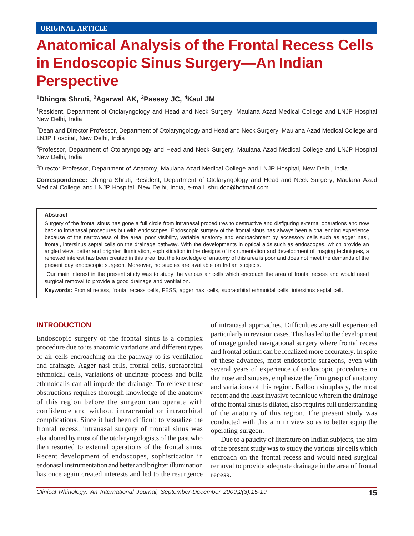# **Anatomical Analysis of the Frontal Recess Cells in Endoscopic Sinus Surgery—An Indian Perspective**

## **1 Dhingra Shruti, <sup>2</sup> Agarwal AK, <sup>3</sup> Passey JC, <sup>4</sup> Kaul JM**

1Resident, Department of Otolaryngology and Head and Neck Surgery, Maulana Azad Medical College and LNJP Hospital New Delhi, India

2Dean and Director Professor, Department of Otolaryngology and Head and Neck Surgery, Maulana Azad Medical College and LNJP Hospital, New Delhi, India

3Professor, Department of Otolaryngology and Head and Neck Surgery, Maulana Azad Medical College and LNJP Hospital New Delhi, India

4Director Professor, Department of Anatomy, Maulana Azad Medical College and LNJP Hospital, New Delhi, India

**Correspondence:** Dhingra Shruti, Resident, Department of Otolaryngology and Head and Neck Surgery, Maulana Azad Medical College and LNJP Hospital, New Delhi, India, e-mail: shrudoc@hotmail.com

#### **Abstract**

Surgery of the frontal sinus has gone a full circle from intranasal procedures to destructive and disfiguring external operations and now back to intranasal procedures but with endoscopes. Endoscopic surgery of the frontal sinus has always been a challenging experience because of the narrowness of the area, poor visibility, variable anatomy and encroachment by accessory cells such as agger nasi, frontal, intersinus septal cells on the drainage pathway. With the developments in optical aids such as endoscopes, which provide an angled view, better and brighter illumination, sophistication in the designs of instrumentation and development of imaging techniques, a renewed interest has been created in this area, but the knowledge of anatomy of this area is poor and does not meet the demands of the present day endoscopic surgeon. Moreover, no studies are available on Indian subjects.

Our main interest in the present study was to study the various air cells which encroach the area of frontal recess and would need surgical removal to provide a good drainage and ventilation.

**Keywords:** Frontal recess, frontal recess cells, FESS, agger nasi cells, supraorbital ethmoidal cells, intersinus septal cell.

# **INTRODUCTION**

Endoscopic surgery of the frontal sinus is a complex procedure due to its anatomic variations and different types of air cells encroaching on the pathway to its ventilation and drainage. Agger nasi cells, frontal cells, supraorbital ethmoidal cells, variations of uncinate process and bulla ethmoidalis can all impede the drainage. To relieve these obstructions requires thorough knowledge of the anatomy of this region before the surgeon can operate with confidence and without intracranial or intraorbital complications. Since it had been difficult to visualize the frontal recess, intranasal surgery of frontal sinus was abandoned by most of the otolaryngologists of the past who then resorted to external operations of the frontal sinus. Recent development of endoscopes, sophistication in endonasal instrumentation and better and brighter illumination has once again created interests and led to the resurgence

of intranasal approaches. Difficulties are still experienced particularly in revision cases. This has led to the development of image guided navigational surgery where frontal recess and frontal ostium can be localized more accurately. In spite of these advances, most endoscopic surgeons, even with several years of experience of endoscopic procedures on the nose and sinuses, emphasize the firm grasp of anatomy and variations of this region. Balloon sinuplasty, the most recent and the least invasive technique wherein the drainage of the frontal sinus is dilated, also requires full understanding of the anatomy of this region. The present study was conducted with this aim in view so as to better equip the operating surgeon.

Due to a paucity of literature on Indian subjects, the aim of the present study was to study the various air cells which encroach on the frontal recess and would need surgical removal to provide adequate drainage in the area of frontal recess.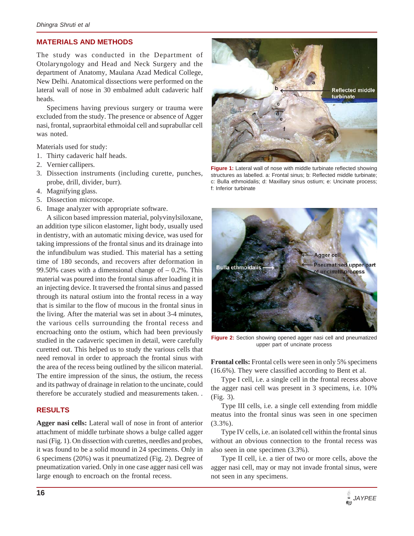# **MATERIALS AND METHODS**

The study was conducted in the Department of Otolaryngology and Head and Neck Surgery and the department of Anatomy, Maulana Azad Medical College, New Delhi. Anatomical dissections were performed on the lateral wall of nose in 30 embalmed adult cadaveric half heads.

Specimens having previous surgery or trauma were excluded from the study. The presence or absence of Agger nasi, frontal, supraorbital ethmoidal cell and suprabullar cell was noted.

Materials used for study:

- 1. Thirty cadaveric half heads.
- 2. Vernier callipers.
- 3. Dissection instruments (including curette, punches, probe, drill, divider, burr).
- 4. Magnifying glass.
- 5. Dissection microscope.
- 6. Image analyzer with appropriate software.

A silicon based impression material, polyvinylsiloxane, an addition type silicon elastomer, light body, usually used in dentistry, with an automatic mixing device, was used for taking impressions of the frontal sinus and its drainage into the infundibulum was studied. This material has a setting time of 180 seconds, and recovers after deformation in 99.50% cases with a dimensional change of  $-0.2\%$ . This material was poured into the frontal sinus after loading it in an injecting device. It traversed the frontal sinus and passed through its natural ostium into the frontal recess in a way that is similar to the flow of mucous in the frontal sinus in the living. After the material was set in about 3-4 minutes, the various cells surrounding the frontal recess and encroaching onto the ostium, which had been previously studied in the cadaveric specimen in detail, were carefully curetted out. This helped us to study the various cells that need removal in order to approach the frontal sinus with the area of the recess being outlined by the silicon material. The entire impression of the sinus, the ostium, the recess and its pathway of drainage in relation to the uncinate, could therefore be accurately studied and measurements taken. .

## **RESULTS**

**Agger nasi cells:** Lateral wall of nose in front of anterior attachment of middle turbinate shows a bulge called agger nasi (Fig. 1). On dissection with curettes, needles and probes, it was found to be a solid mound in 24 specimens. Only in 6 specimens (20%) was it pneumatized (Fig. 2). Degree of pneumatization varied. Only in one case agger nasi cell was large enough to encroach on the frontal recess.



**Figure 1:** Lateral wall of nose with middle turbinate reflected showing structures as labelled. a: Frontal sinus; b: Reflected middle turbinate; c: Bulla ethmoidalis; d: Maxillary sinus ostium; e: Uncinate process; f: Inferior turbinate



**Figure 2:** Section showing opened agger nasi cell and pneumatized upper part of uncinate process

**Frontal cells:** Frontal cells were seen in only 5% specimens (16.6%). They were classified according to Bent et al.

Type I cell, i.e. a single cell in the frontal recess above the agger nasi cell was present in 3 specimens, i.e. 10% (Fig. 3).

Type III cells, i.e. a single cell extending from middle meatus into the frontal sinus was seen in one specimen (3.3%).

Type IV cells, i.e. an isolated cell within the frontal sinus without an obvious connection to the frontal recess was also seen in one specimen (3.3%).

Type II cell, i.e. a tier of two or more cells, above the agger nasi cell, may or may not invade frontal sinus, were not seen in any specimens.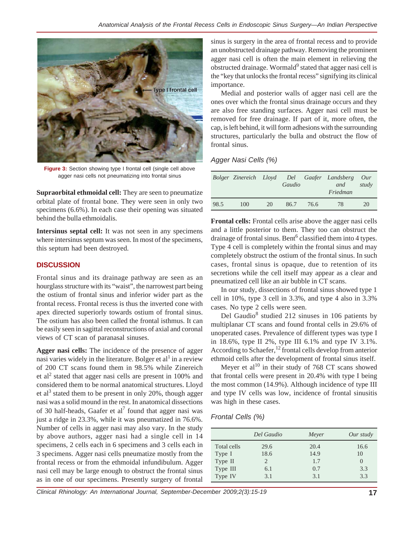

**Figure 3:** Section showing type I frontal cell (single cell above agger nasi cells not pneumatizing into frontal sinus

**Supraorbital ethmoidal cell:** They are seen to pneumatize orbital plate of frontal bone. They were seen in only two specimens (6.6%). In each case their opening was situated behind the bulla ethmoidalis.

**Intersinus septal cell:** It was not seen in any specimens where intersinus septum was seen. In most of the specimens, this septum had been destroyed.

# **DISCUSSION**

Frontal sinus and its drainage pathway are seen as an hourglass structure with its "waist", the narrowest part being the ostium of frontal sinus and inferior wider part as the frontal recess. Frontal recess is thus the inverted cone with apex directed superiorly towards ostium of frontal sinus. The ostium has also been called the frontal isthmus. It can be easily seen in sagittal reconstructions of axial and coronal views of CT scan of paranasal sinuses.

**Agger nasi cells:** The incidence of the presence of agger nasi varies widely in the literature. Bolger et al<sup>1</sup> in a review of 200 CT scans found them in 98.5% while Zinereich et al<sup>2</sup> stated that agger nasi cells are present in 100% and considered them to be normal anatomical structures. Lloyd et al<sup>3</sup> stated them to be present in only 20%, though agger nasi was a solid mound in the rest. In anatomical dissections of 30 half-heads, Gaafer et al<sup>7</sup> found that agger nasi was just a ridge in 23.3%, while it was pneumatized in 76.6%. Number of cells in agger nasi may also vary. In the study by above authors, agger nasi had a single cell in 14 specimens, 2 cells each in 6 specimens and 3 cells each in 3 specimens. Agger nasi cells pneumatize mostly from the frontal recess or from the ethmoidal infundibulum. Agger nasi cell may be large enough to obstruct the frontal sinus as in one of our specimens. Presently surgery of frontal

sinus is surgery in the area of frontal recess and to provide an unobstructed drainage pathway. Removing the prominent agger nasi cell is often the main element in relieving the obstructed drainage. Wormald<sup>9</sup> stated that agger nasi cell is the "key that unlocks the frontal recess" signifying its clinical importance.

Medial and posterior walls of agger nasi cell are the ones over which the frontal sinus drainage occurs and they are also free standing surfaces. Agger nasi cell must be removed for free drainage. If part of it, more often, the cap, is left behind, it will form adhesions with the surrounding structures, particularly the bulla and obstruct the flow of frontal sinus.

*Agger Nasi Cells (%)*

|      | Bolger Zinereich Lloyd |    | Gaudio |      | Del Gaafer Landsberg<br>and<br>Friedman | Our<br>study |
|------|------------------------|----|--------|------|-----------------------------------------|--------------|
| 98.5 | 100                    | 20 | 86.7   | 76.6 | 78                                      | 20           |

**Frontal cells:** Frontal cells arise above the agger nasi cells and a little posterior to them. They too can obstruct the drainage of frontal sinus. Bent<sup>6</sup> classified them into 4 types. Type 4 cell is completely within the frontal sinus and may completely obstruct the ostium of the frontal sinus. In such cases, frontal sinus is opaque, due to retention of its secretions while the cell itself may appear as a clear and pneumatized cell like an air bubble in CT scans.

In our study, dissections of frontal sinus showed type 1 cell in 10%, type 3 cell in 3.3%, and type 4 also in 3.3% cases. No type 2 cells were seen.

Del Gaudio<sup>8</sup> studied 212 sinuses in 106 patients by multiplanar CT scans and found frontal cells in 29.6% of unoperated cases. Prevalence of different types was type I in 18.6%, type II 2%, type III 6.1% and type IV 3.1%. According to Schaefer,<sup>12</sup> frontal cells develop from anterior ethmoid cells after the development of frontal sinus itself.

Meyer et  $al^{10}$  in their study of 768 CT scans showed that frontal cells were present in 20.4% with type I being the most common (14.9%). Although incidence of type III and type IV cells was low, incidence of frontal sinusitis was high in these cases.

# *Frontal Cells (%)*

|             | Del Gaudio     | Meyer | Our study        |
|-------------|----------------|-------|------------------|
| Total cells | 29.6           | 20.4  | 16.6             |
| Type I      | 18.6           | 14.9  | 10               |
| Type II     | $\overline{c}$ | 1.7   | $\left( \right)$ |
| Type III    | 6.1            | 0.7   | 3.3              |
| Type IV     | 3.1            | 3.1   | 3.3              |

*Clinical Rhinology: An International Journal, September-December 2009;2(3):15-19* **17**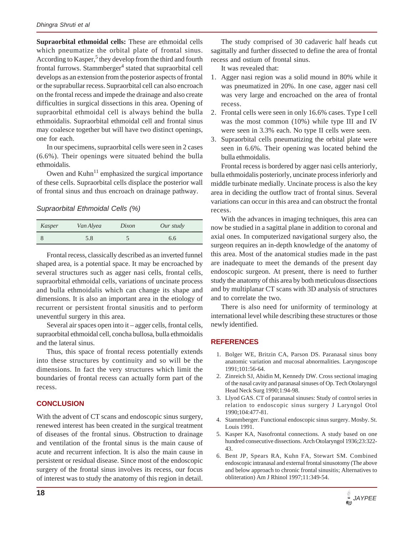**Supraorbital ethmoidal cells:** These are ethmoidal cells which pneumatize the orbital plate of frontal sinus. According to Kasper,<sup>5</sup> they develop from the third and fourth frontal furrows. Stammberger<sup>4</sup> stated that supraorbital cell develops as an extension from the posterior aspects of frontal or the suprabullar recess. Supraorbital cell can also encroach on the frontal recess and impede the drainage and also create difficulties in surgical dissections in this area. Opening of supraorbital ethmoidal cell is always behind the bulla ethmoidalis. Supraorbital ethmoidal cell and frontal sinus may coalesce together but will have two distinct openings, one for each.

In our specimens, supraorbital cells were seen in 2 cases (6.6%). Their openings were situated behind the bulla ethmoidalis.

Owen and  $Kuhn<sup>11</sup>$  emphasized the surgical importance of these cells. Supraorbital cells displace the posterior wall of frontal sinus and thus encroach on drainage pathway.

#### *Supraorbital Ethmoidal Cells (%)*

| Kasper | Van Alyea | Dixon | Our study |
|--------|-----------|-------|-----------|
|        | 5.8       |       | 6.6       |

Frontal recess, classically described as an inverted funnel shaped area, is a potential space. It may be encroached by several structures such as agger nasi cells, frontal cells, supraorbital ethmoidal cells, variations of uncinate process and bulla ethmoidalis which can change its shape and dimensions. It is also an important area in the etiology of recurrent or persistent frontal sinusitis and to perform uneventful surgery in this area.

Several air spaces open into it – agger cells, frontal cells, supraorbital ethmoidal cell, concha bullosa, bulla ethmoidalis and the lateral sinus.

Thus, this space of frontal recess potentially extends into these structures by continuity and so will be the dimensions. In fact the very structures which limit the boundaries of frontal recess can actually form part of the recess.

# **CONCLUSION**

With the advent of CT scans and endoscopic sinus surgery, renewed interest has been created in the surgical treatment of diseases of the frontal sinus. Obstruction to drainage and ventilation of the frontal sinus is the main cause of acute and recurrent infection. It is also the main cause in persistent or residual disease. Since most of the endoscopic surgery of the frontal sinus involves its recess, our focus of interest was to study the anatomy of this region in detail.

The study comprised of 30 cadaveric half heads cut sagittally and further dissected to define the area of frontal recess and ostium of frontal sinus.

It was revealed that:

- 1. Agger nasi region was a solid mound in 80% while it was pneumatized in 20%. In one case, agger nasi cell was very large and encroached on the area of frontal recess.
- 2. Frontal cells were seen in only 16.6% cases. Type I cell was the most common (10%) while type III and IV were seen in 3.3% each. No type II cells were seen.
- 3. Supraorbital cells pneumatizing the orbital plate were seen in 6.6%. Their opening was located behind the bulla ethmoidalis.

Frontal recess is bordered by agger nasi cells anteriorly, bulla ethmoidalis posteriorly, uncinate process inferiorly and middle turbinate medially. Uncinate process is also the key area in deciding the outflow tract of frontal sinus. Several variations can occur in this area and can obstruct the frontal recess.

With the advances in imaging techniques, this area can now be studied in a sagittal plane in addition to coronal and axial ones. In computerized navigational surgery also, the surgeon requires an in-depth knowledge of the anatomy of this area. Most of the anatomical studies made in the past are inadequate to meet the demands of the present day endoscopic surgeon. At present, there is need to further study the anatomy of this area by both meticulous dissections and by multiplanar CT scans with 3D analysis of structures and to correlate the two.

There is also need for uniformity of terminology at international level while describing these structures or those newly identified.

# **REFERENCES**

- 1. Bolger WE, Britzin CA, Parson DS. Paranasal sinus bony anatomic variation and mucosal abnormalities. Laryngoscope 1991;101:56-64.
- 2. Zinreich SJ, Abidin M, Kennedy DW. Cross sectional imaging of the nasal cavity and paranasal sinuses of Op. Tech Otolaryngol Head Neck Surg 1990;1:94-98.
- 3. Llyod GAS. CT of paranasal sinuses: Study of control series in relation to endoscopic sinus surgery J Laryngol Otol 1990;104:477-81.
- 4. Stammberger. Functional endoscopic sinus surgery. Mosby. St. Louis 1991.
- 5. Kasper KA, Nasofrontal connections. A study based on one hundred consecutive dissections. Arch Otolaryngol 1936;23:322- 43.
- 6. Bent JP, Spears RA, Kuhn FA, Stewart SM. Combined endoscopic intranasal and external frontal sinusotomy (The above and below approach to chronic frontal sinusitis; Alternatives to obliteration) Am J Rhinol 1997;11:349-54.